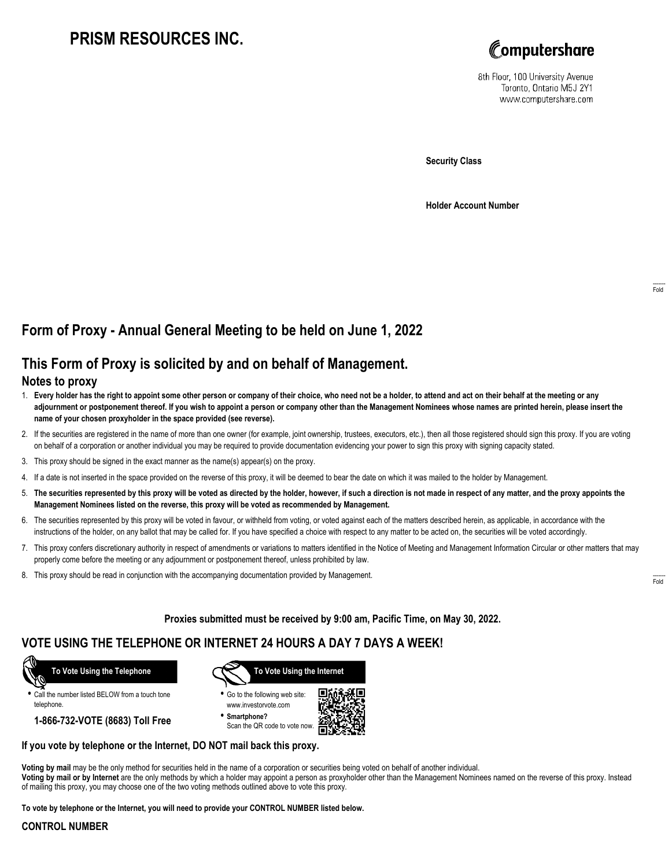# **PRISM RESOURCES INC.**



8th Floor, 100 University Avenue Toronto, Ontario M5J 2Y1 www.computershare.com

**Security Class**

**Holder Account Number**

## **Form of Proxy - Annual General Meeting to be held on June 1, 2022**

### **This Form of Proxy is solicited by and on behalf of Management.**

### **Notes to proxy**

- 1. **Every holder has the right to appoint some other person or company of their choice, who need not be a holder, to attend and act on their behalf at the meeting or any adjournment or postponement thereof. If you wish to appoint a person or company other than the Management Nominees whose names are printed herein, please insert the name of your chosen proxyholder in the space provided (see reverse).**
- 2. If the securities are registered in the name of more than one owner (for example, joint ownership, trustees, executors, etc.), then all those registered should sign this proxy. If you are voting on behalf of a corporation or another individual you may be required to provide documentation evidencing your power to sign this proxy with signing capacity stated.
- 3. This proxy should be signed in the exact manner as the name(s) appear(s) on the proxy.
- 4. If a date is not inserted in the space provided on the reverse of this proxy, it will be deemed to bear the date on which it was mailed to the holder by Management.
- 5. **The securities represented by this proxy will be voted as directed by the holder, however, if such a direction is not made in respect of any matter, and the proxy appoints the Management Nominees listed on the reverse, this proxy will be voted as recommended by Management.**
- 6. The securities represented by this proxy will be voted in favour, or withheld from voting, or voted against each of the matters described herein, as applicable, in accordance with the instructions of the holder, on any ballot that may be called for. If you have specified a choice with respect to any matter to be acted on, the securities will be voted accordingly.
- 7. This proxy confers discretionary authority in respect of amendments or variations to matters identified in the Notice of Meeting and Management Information Circular or other matters that may properly come before the meeting or any adjournment or postponement thereof, unless prohibited by law.
- 8. This proxy should be read in conjunction with the accompanying documentation provided by Management.

**Proxies submitted must be received by 9:00 am, Pacific Time, on May 30, 2022.**

### **VOTE USING THE TELEPHONE OR INTERNET 24 HOURS A DAY 7 DAYS A WEEK!**



**•** Call the number listed BELOW from a touch tone telephone.

**1-866-732-VOTE (8683) Toll Free**



**•** Go to the following web site: www.investorvote.com

**• Smartphone?** Scan the QR code to vote now.



#### **If you vote by telephone or the Internet, DO NOT mail back this proxy.**

**Voting by mail** may be the only method for securities held in the name of a corporation or securities being voted on behalf of another individual. **Voting by mail or by Internet** are the only methods by which a holder may appoint a person as proxyholder other than the Management Nominees named on the reverse of this proxy. Instead of mailing this proxy, you may choose one of the two voting methods outlined above to vote this proxy.

**To vote by telephone or the Internet, you will need to provide your CONTROL NUMBER listed below.**

#### **CONTROL NUMBER**